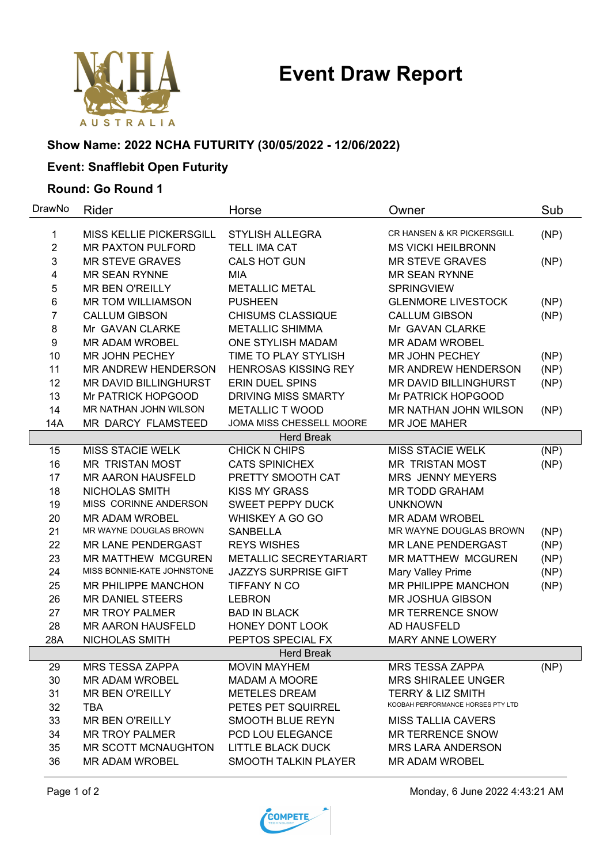# **Event Draw Report**



### **Show Name: 2022 NCHA FUTURITY (30/05/2022 - 12/06/2022)**

## **Event: Snafflebit Open Futurity**

#### **Round: Go Round 1**

| DrawNo            | Rider                          | Horse                       | Owner                                 | Sub  |  |  |
|-------------------|--------------------------------|-----------------------------|---------------------------------------|------|--|--|
| 1                 | <b>MISS KELLIE PICKERSGILL</b> | <b>STYLISH ALLEGRA</b>      | <b>CR HANSEN &amp; KR PICKERSGILL</b> | (NP) |  |  |
| $\overline{2}$    | <b>MR PAXTON PULFORD</b>       | <b>TELL IMA CAT</b>         | <b>MS VICKI HEILBRONN</b>             |      |  |  |
| 3                 | <b>MR STEVE GRAVES</b>         | <b>CALS HOT GUN</b>         | <b>MR STEVE GRAVES</b>                | (NP) |  |  |
| 4                 | <b>MR SEAN RYNNE</b>           | <b>MIA</b>                  | <b>MR SEAN RYNNE</b>                  |      |  |  |
| 5                 | <b>MR BEN O'REILLY</b>         | <b>METALLIC METAL</b>       | <b>SPRINGVIEW</b>                     |      |  |  |
| 6                 | <b>MR TOM WILLIAMSON</b>       | <b>PUSHEEN</b>              | <b>GLENMORE LIVESTOCK</b>             | (NP) |  |  |
| 7                 | <b>CALLUM GIBSON</b>           | <b>CHISUMS CLASSIQUE</b>    | <b>CALLUM GIBSON</b>                  | (NP) |  |  |
| 8                 | Mr GAVAN CLARKE                | <b>METALLIC SHIMMA</b>      | Mr GAVAN CLARKE                       |      |  |  |
| 9                 | <b>MR ADAM WROBEL</b>          | ONE STYLISH MADAM           | <b>MR ADAM WROBEL</b>                 |      |  |  |
| 10                | MR JOHN PECHEY                 | TIME TO PLAY STYLISH        | MR JOHN PECHEY                        | (NP) |  |  |
| 11                | <b>MR ANDREW HENDERSON</b>     | <b>HENROSAS KISSING REY</b> | MR ANDREW HENDERSON                   | (NP) |  |  |
| 12                | MR DAVID BILLINGHURST          | <b>ERIN DUEL SPINS</b>      | <b>MR DAVID BILLINGHURST</b>          | (NP) |  |  |
| 13                | Mr PATRICK HOPGOOD             | <b>DRIVING MISS SMARTY</b>  | Mr PATRICK HOPGOOD                    |      |  |  |
| 14                | MR NATHAN JOHN WILSON          | <b>METALLIC T WOOD</b>      | MR NATHAN JOHN WILSON                 | (NP) |  |  |
| <b>14A</b>        | MR DARCY FLAMSTEED             | JOMA MISS CHESSELL MOORE    | <b>MR JOE MAHER</b>                   |      |  |  |
|                   |                                | <b>Herd Break</b>           |                                       |      |  |  |
| 15                | <b>MISS STACIE WELK</b>        | <b>CHICK N CHIPS</b>        | <b>MISS STACIE WELK</b>               | (NP) |  |  |
| 16                | <b>MR TRISTAN MOST</b>         | <b>CATS SPINICHEX</b>       | MR TRISTAN MOST                       | (NP) |  |  |
| 17                | <b>MR AARON HAUSFELD</b>       | PRETTY SMOOTH CAT           | <b>MRS JENNY MEYERS</b>               |      |  |  |
| 18                | NICHOLAS SMITH                 | <b>KISS MY GRASS</b>        | <b>MR TODD GRAHAM</b>                 |      |  |  |
| 19                | MISS CORINNE ANDERSON          | <b>SWEET PEPPY DUCK</b>     | <b>UNKNOWN</b>                        |      |  |  |
| 20                | <b>MR ADAM WROBEL</b>          | WHISKEY A GO GO             | <b>MR ADAM WROBEL</b>                 |      |  |  |
| 21                | MR WAYNE DOUGLAS BROWN         | <b>SANBELLA</b>             | MR WAYNE DOUGLAS BROWN                | (NP) |  |  |
| 22                | MR LANE PENDERGAST             | <b>REYS WISHES</b>          | MR LANE PENDERGAST                    | (NP) |  |  |
| 23                | <b>MR MATTHEW MCGUREN</b>      | METALLIC SECREYTARIART      | <b>MR MATTHEW MCGUREN</b>             | (NP) |  |  |
| 24                | MISS BONNIE-KATE JOHNSTONE     | <b>JAZZYS SURPRISE GIFT</b> | Mary Valley Prime                     | (NP) |  |  |
| 25                | MR PHILIPPE MANCHON            | TIFFANY N CO                | <b>MR PHILIPPE MANCHON</b>            | (NP) |  |  |
| 26                | <b>MR DANIEL STEERS</b>        | <b>LEBRON</b>               | <b>MR JOSHUA GIBSON</b>               |      |  |  |
| 27                | <b>MR TROY PALMER</b>          | <b>BAD IN BLACK</b>         | <b>MR TERRENCE SNOW</b>               |      |  |  |
| 28                | <b>MR AARON HAUSFELD</b>       | HONEY DONT LOOK             | AD HAUSFELD                           |      |  |  |
| 28A               | NICHOLAS SMITH                 | PEPTOS SPECIAL FX           | <b>MARY ANNE LOWERY</b>               |      |  |  |
| <b>Herd Break</b> |                                |                             |                                       |      |  |  |
| 29                | <b>MRS TESSA ZAPPA</b>         | <b>MOVIN MAYHEM</b>         | <b>MRS TESSA ZAPPA</b>                | (NP) |  |  |
| 30                | <b>MR ADAM WROBEL</b>          | <b>MADAM A MOORE</b>        | <b>MRS SHIRALEE UNGER</b>             |      |  |  |
| 31                | <b>MR BEN O'REILLY</b>         | <b>METELES DREAM</b>        | <b>TERRY &amp; LIZ SMITH</b>          |      |  |  |
| 32                | <b>TBA</b>                     | PETES PET SQUIRREL          | KOOBAH PERFORMANCE HORSES PTY LTD     |      |  |  |
| 33                | <b>MR BEN O'REILLY</b>         | SMOOTH BLUE REYN            | <b>MISS TALLIA CAVERS</b>             |      |  |  |
| 34                | <b>MR TROY PALMER</b>          | PCD LOU ELEGANCE            | <b>MR TERRENCE SNOW</b>               |      |  |  |
| 35                | MR SCOTT MCNAUGHTON            | <b>LITTLE BLACK DUCK</b>    | <b>MRS LARA ANDERSON</b>              |      |  |  |
| 36                | <b>MR ADAM WROBEL</b>          | SMOOTH TALKIN PLAYER        | <b>MR ADAM WROBEL</b>                 |      |  |  |